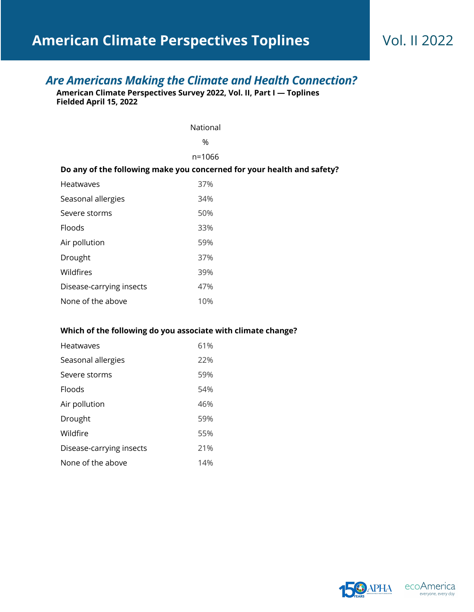# *Are Americans Making the Climate and Health Connection?*

**American Climate Perspectives Survey 2022, Vol. II, Part I — Toplines Fielded April 15, 2022**

|                                                                        | National |  |
|------------------------------------------------------------------------|----------|--|
|                                                                        | $\%$     |  |
|                                                                        | n=1066   |  |
| Do any of the following make you concerned for your health and safety? |          |  |
| <b>Heatwaves</b>                                                       | 37%      |  |
| Seasonal allergies                                                     | 34%      |  |
| Severe storms                                                          | 50%      |  |
| Floods                                                                 | 33%      |  |
| Air pollution                                                          | 59%      |  |
| Drought                                                                | 37%      |  |
| Wildfires                                                              | 39%      |  |
| Disease-carrying insects                                               | 47%      |  |
| None of the above                                                      | 10%      |  |

### **Which of the following do you associate with climate change?**

| <b>Heatwaves</b>         | 61% |
|--------------------------|-----|
| Seasonal allergies       | 22% |
| Severe storms            | 59% |
| <b>Floods</b>            | 54% |
| Air pollution            | 46% |
| Drought                  | 59% |
| Wildfire                 | 55% |
| Disease-carrying insects | 21% |
| None of the above        | 14% |

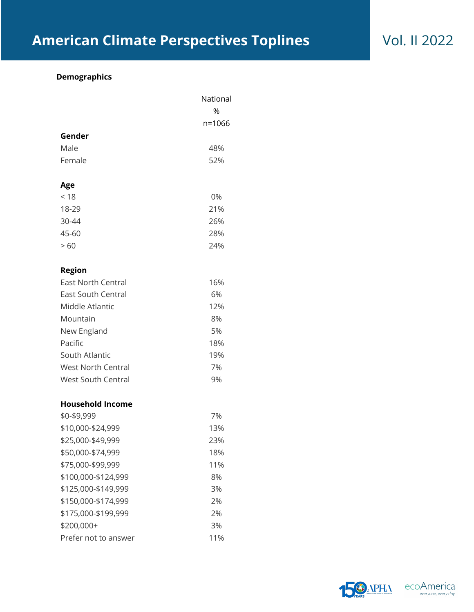## **Demographics**

|                           | National |
|---------------------------|----------|
|                           | %        |
|                           | n=1066   |
| Gender                    |          |
| Male                      | 48%      |
| Female                    | 52%      |
| Age                       |          |
| < 18                      | 0%       |
| 18-29                     | 21%      |
| 30-44                     | 26%      |
| 45-60                     | 28%      |
| >60                       | 24%      |
| <b>Region</b>             |          |
| <b>East North Central</b> | 16%      |
| <b>East South Central</b> | 6%       |
| Middle Atlantic           | 12%      |
| Mountain                  | 8%       |
| New England               | 5%       |
| Pacific                   | 18%      |
| South Atlantic            | 19%      |
| <b>West North Central</b> | 7%       |
| <b>West South Central</b> | 9%       |
| <b>Household Income</b>   |          |
| \$0-\$9,999               | 7%       |
| \$10,000-\$24,999         | 13%      |
| \$25,000-\$49,999         | 23%      |
| \$50,000-\$74,999         | 18%      |
| \$75,000-\$99,999         | 11%      |
| \$100,000-\$124,999       | 8%       |
| \$125,000-\$149,999       | 3%       |
| \$150,000-\$174,999       | 2%       |
| \$175,000-\$199,999       | 2%       |
| \$200,000+                | 3%       |
| Prefer not to answer      | 11%      |